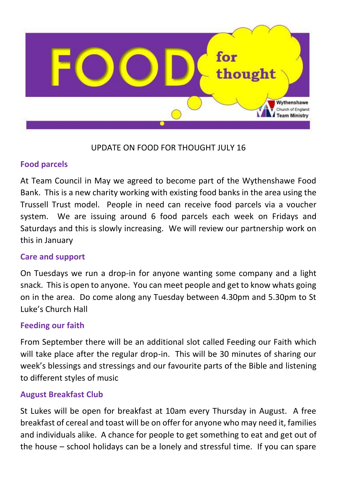

# UPDATE ON FOOD FOR THOUGHT JULY 16

## **Food parcels**

At Team Council in May we agreed to become part of the Wythenshawe Food Bank. This is a new charity working with existing food banks in the area using the Trussell Trust model. People in need can receive food parcels via a voucher system. We are issuing around 6 food parcels each week on Fridays and Saturdays and this is slowly increasing. We will review our partnership work on this in January

## **Care and support**

On Tuesdays we run a drop-in for anyone wanting some company and a light snack. This is open to anyone. You can meet people and get to know whats going on in the area. Do come along any Tuesday between 4.30pm and 5.30pm to St Luke's Church Hall

## **Feeding our faith**

From September there will be an additional slot called Feeding our Faith which will take place after the regular drop-in. This will be 30 minutes of sharing our week's blessings and stressings and our favourite parts of the Bible and listening to different styles of music

## **August Breakfast Club**

St Lukes will be open for breakfast at 10am every Thursday in August. A free breakfast of cereal and toast will be on offer for anyone who may need it, families and individuals alike. A chance for people to get something to eat and get out of the house – school holidays can be a lonely and stressful time. If you can spare